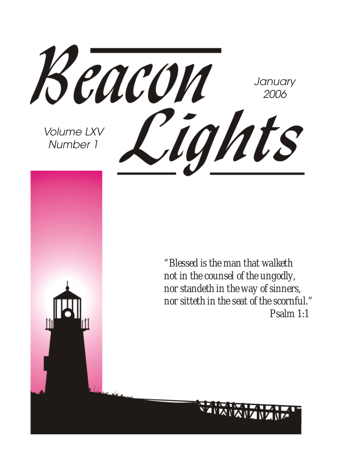Beacon **January** 2006 Cights Volume LXV Number 1

*"Blessed is the man that walketh not in the counsel of the ungodly, nor standeth in the way of sinners, nor sitteth in the seat of the scornful." Psalm 1:1*

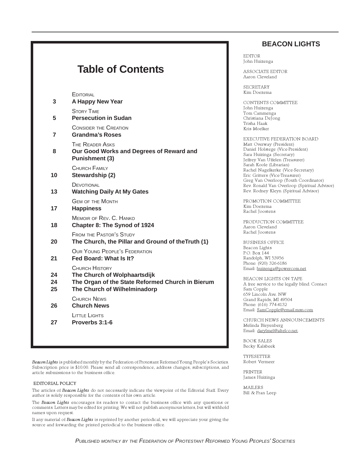|                | <b>Table of Contents</b>                                                                                                                  |
|----------------|-------------------------------------------------------------------------------------------------------------------------------------------|
| 3              | <b>EDITORIAL</b><br><b>A Happy New Year</b>                                                                                               |
| 5              | <b>STORY TIME</b><br><b>Persecution in Sudan</b>                                                                                          |
| 7              | <b>CONSIDER THE CREATION</b><br><b>Grandma's Roses</b>                                                                                    |
| 8              | <b>THE READER ASKS</b><br>Our Good Works and Degrees of Reward and<br><b>Punishment (3)</b>                                               |
| 10             | CHURCH FAMILY<br>Stewardship (2)                                                                                                          |
| 13             | DEVOTIONAL<br><b>Watching Daily At My Gates</b>                                                                                           |
| 17             | <b>GEM OF THE MONTH</b><br><b>Happiness</b>                                                                                               |
| 18             | MEMOIR OF REV. C. HANKO<br>Chapter 8: The Synod of 1924                                                                                   |
| 20             | <b>FROM THE PASTOR'S STUDY</b><br>The Church, the Pillar and Ground of theTruth (1)                                                       |
| 21             | <b>OUR YOUNG PEOPLE'S FEDERATION</b><br>Fed Board: What Is It?                                                                            |
| 24<br>24<br>25 | <b>CHURCH HISTORY</b><br>The Church of Wolphaartsdijk<br>The Organ of the State Reformed Church in Bierum<br>The Church of Wilhelminadorp |
| 26             | CHURCH NEWS<br><b>Church News</b>                                                                                                         |
| 27             | LITTLE LIGHTS<br>Proverbs 3:1-6                                                                                                           |

Beacon Lights is published monthly by the Federation of Protestant Reformed Young People's Societies. Subscription price is \$10.00. Please send all correspondence, address changes, subscriptions, and article submissions to the business office.

#### EDITORIAL POLICY

The articles of Beacon Lights do not necessarily indicate the viewpoint of the Editorial Staff. Every author is solely responsible for the contents of his own article.

The Beacon Lights encourages its readers to contact the business office with any questions or comments. Letters may be edited for printing. We will not publish anonymous letters, but will withhold names upon request.

If any material of Beacon Lights is reprinted by another periodical, we will appreciate your giving the source and forwarding the printed periodical to the business office.

#### **BEACON LIGHTS**

EDITOR John Huizenga

ASSOCIATE EDITOR Aaron Cleveland

SECRETARY Kim Doezema

CONTENTS COMMITTEE John Huizenga Tom Cammenga Christiana DeJong Trisha Haak Kris Moelker

EXECUTIVE FEDERATION BOARD Matt Overway (President) Daniel Holstege (Vice-President) Sara Huizinga (Secretary) Jeffrey Van Uffelen (Treasurer) Sarah Koole (Librarian) Rachel Nagelkerke (Vice-Secretary) Eric Gritters (Vice-Treasurer) Greg Van Overloop (Youth Coordinator) Rev. Ronald Van Overloop (Spiritual Advisor) Rev. Rodney Kleyn (Spiritual Advisor)

PROMOTION COMMITTEE Kim Doezema Rachel Joostens

PRODUCTION COMMITTEE Aaron Cleveland Rachel Joostens

BUSINESS OFFICE Beacon Lights P.O. Box 144 Randolph, WI 53956 Phone: (920) 326-6186 Email: huizenga@powercom.net

BEACON LIGHTS ON TAPE A free service to the legally blind. Contact Sam Copple 659 Lincoln Ave. NW Grand Rapids, MI 49504 Phone: (616) 774-4132 Email: SamCopple@email.msn.com

CHURCH NEWS ANNOUNCEMENTS Melinda Bleyenberg Email: darylmel@altelco.net.

BOOK SALES Becky Kalsbeek

TYPESETTER Robert Vermeer

PRINTER James Huizinga

MAILERS Bill & Fran Leep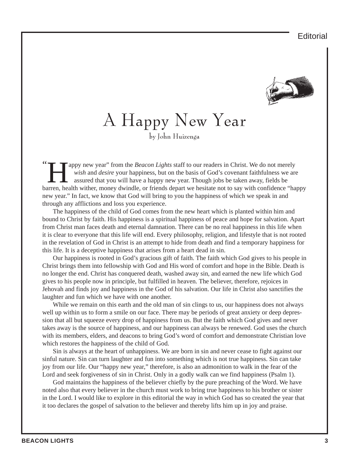

## A Happy New Year by John Huizenga

" appy new year" from the *Beacon Lights* staff to our readers in Christ. We do not merely *wish* and *desire* your happiness, but on the basis of God's covenant faithfulness we are assured that you will have a happy new year. Though jobs be taken away, fields be barren, health wither, money dwindle, or friends depart we hesitate not to say with confidence "happy new year." In fact, we know that God will bring to you the happiness of which we speak in and through any afflictions and loss you experience.

The happiness of the child of God comes from the new heart which is planted within him and bound to Christ by faith. His happiness is a spiritual happiness of peace and hope for salvation. Apart from Christ man faces death and eternal damnation. There can be no real happiness in this life when it is clear to everyone that this life will end. Every philosophy, religion, and lifestyle that is not rooted in the revelation of God in Christ is an attempt to hide from death and find a temporary happiness for this life. It is a deceptive happiness that arises from a heart dead in sin.

Our happiness is rooted in God's gracious gift of faith. The faith which God gives to his people in Christ brings them into fellowship with God and His word of comfort and hope in the Bible. Death is no longer the end. Christ has conquered death, washed away sin, and earned the new life which God gives to his people now in principle, but fulfilled in heaven. The believer, therefore, rejoices in Jehovah and finds joy and happiness in the God of his salvation. Our life in Christ also sanctifies the laughter and fun which we have with one another.

While we remain on this earth and the old man of sin clings to us, our happiness does not always well up within us to form a smile on our face. There may be periods of great anxiety or deep depression that all but squeeze every drop of happiness from us. But the faith which God gives and never takes away is the source of happiness, and our happiness can always be renewed. God uses the church with its members, elders, and deacons to bring God's word of comfort and demonstrate Christian love which restores the happiness of the child of God.

Sin is always at the heart of unhappiness. We are born in sin and never cease to fight against our sinful nature. Sin can turn laughter and fun into something which is not true happiness. Sin can take joy from our life. Our "happy new year," therefore, is also an admonition to walk in the fear of the Lord and seek forgiveness of sin in Christ. Only in a godly walk can we find happiness (Psalm 1).

God maintains the happiness of the believer chiefly by the pure preaching of the Word. We have noted also that every believer in the church must work to bring true happiness to his brother or sister in the Lord. I would like to explore in this editorial the way in which God has so created the year that it too declares the gospel of salvation to the believer and thereby lifts him up in joy and praise.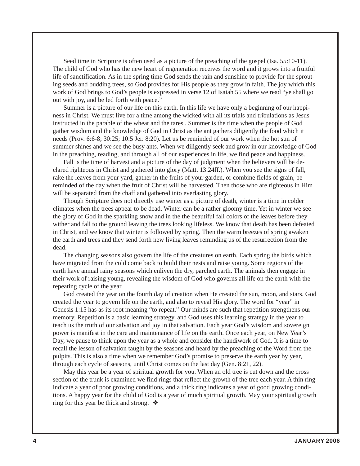Seed time in Scripture is often used as a picture of the preaching of the gospel (Isa. 55:10-11). The child of God who has the new heart of regeneration receives the word and it grows into a fruitful life of sanctification. As in the spring time God sends the rain and sunshine to provide for the sprouting seeds and budding trees, so God provides for His people as they grow in faith. The joy which this work of God brings to God's people is expressed in verse 12 of Isaiah 55 where we read "ye shall go out with joy, and be led forth with peace."

Summer is a picture of our life on this earth. In this life we have only a beginning of our happiness in Christ. We must live for a time among the wicked with all its trials and tribulations as Jesus instructed in the parable of the wheat and the tares . Summer is the time when the people of God gather wisdom and the knowledge of God in Christ as the ant gathers diligently the food which it needs (Prov. 6:6-8; 30:25; 10:5 Jer. 8:20). Let us be reminded of our work when the hot sun of summer shines and we see the busy ants. When we diligently seek and grow in our knowledge of God in the preaching, reading, and through all of our experiences in life, we find peace and happiness.

Fall is the time of harvest and a picture of the day of judgment when the believers will be declared righteous in Christ and gathered into glory (Matt. 13:24ff.). When you see the signs of fall, rake the leaves from your yard, gather in the fruits of your garden, or combine fields of grain, be reminded of the day when the fruit of Christ will be harvested. Then those who are righteous in Him will be separated from the chaff and gathered into everlasting glory.

Though Scripture does not directly use winter as a picture of death, winter is a time in colder climates when the trees appear to be dead. Winter can be a rather gloomy time. Yet in winter we see the glory of God in the sparkling snow and in the the beautiful fall colors of the leaves before they wither and fall to the ground leaving the trees looking lifeless. We know that death has been defeated in Christ, and we know that winter is followed by spring. Then the warm breezes of spring awaken the earth and trees and they send forth new living leaves reminding us of the resurrection from the dead.

The changing seasons also govern the life of the creatures on earth. Each spring the birds which have migrated from the cold come back to build their nests and raise young. Some regions of the earth have annual rainy seasons which enliven the dry, parched earth. The animals then engage in their work of raising young, revealing the wisdom of God who governs all life on the earth with the repeating cycle of the year.

God created the year on the fourth day of creation when He created the sun, moon, and stars. God created the year to govern life on the earth, and also to reveal His glory. The word for "year" in Genesis 1:15 has as its root meaning "to repeat." Our minds are such that repetition strengthens our memory. Repetition is a basic learning strategy, and God uses this learning strategy in the year to teach us the truth of our salvation and joy in that salvation. Each year God's wisdom and sovereign power is manifest in the care and maintenance of life on the earth. Once each year, on New Year's Day, we pause to think upon the year as a whole and consider the handiwork of God. It is a time to recall the lesson of salvation taught by the seasons and heard by the preaching of the Word from the pulpits. This is also a time when we remember God's promise to preserve the earth year by year, through each cycle of seasons, until Christ comes on the last day (Gen. 8:21, 22).

May this year be a year of spiritual growth for you. When an old tree is cut down and the cross section of the trunk is examined we find rings that reflect the growth of the tree each year. A thin ring indicate a year of poor growing conditions, and a thick ring indicates a year of good growing conditions. A happy year for the child of God is a year of much spiritual growth. May your spiritual growth ring for this year be thick and strong.  $\triangleleft$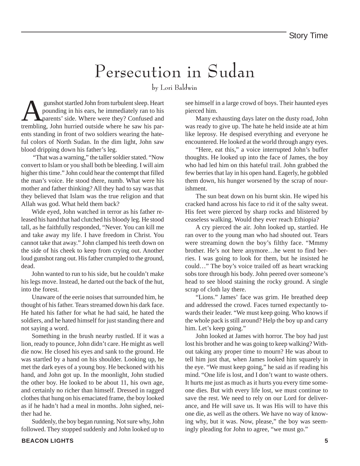# Persecution in Sudan

by Lori Baldwin

sunshot startled John from turbulent sleep. Heart<br>pounding in his ears, he immediately ran to his<br>parents' side. Where were they? Confused and<br>trembling. John hurried outside where he saw his parpounding in his ears, he immediately ran to his parents' side. Where were they? Confused and trembling, John hurried outside where he saw his parents standing in front of two soldiers wearing the hateful colors of North Sudan. In the dim light, John saw blood dripping down his father's leg.

 "That was a warning," the taller soldier stated. "Now convert to Islam or you shall both be bleeding. I will aim higher this time." John could hear the contempt that filled the man's voice. He stood there, numb. What were his mother and father thinking? All they had to say was that they believed that Islam was the true religion and that Allah was god. What held them back?

Wide eyed, John watched in terror as his father released his hand that had clutched his bloody leg. He stood tall, as he faithfully responded, "Never. You can kill me and take away my life. I have freedom in Christ. You cannot take that away." John clamped his teeth down on the side of his cheek to keep from crying out. Another loud gunshot rang out. His father crumpled to the ground, dead.

John wanted to run to his side, but he couldn't make his legs move. Instead, he darted out the back of the hut, into the forest.

Unaware of the eerie noises that surrounded him, he thought of his father. Tears streamed down his dark face. He hated his father for what he had said, he hated the soldiers, and he hated himself for just standing there and not saying a word.

Something in the brush nearby rustled. If it was a lion, ready to pounce, John didn't care. He might as well die now. He closed his eyes and sank to the ground. He was startled by a hand on his shoulder. Looking up, he met the dark eyes of a young boy. He beckoned with his hand, and John got up. In the moonlight, John studied the other boy. He looked to be about 11, his own age, and certainly no richer than himself. Dressed in ragged clothes that hung on his emaciated frame, the boy looked as if he hadn't had a meal in months. John sighed, neither had he.

Suddenly, the boy began running. Not sure why, John followed. They stopped suddenly and John looked up to see himself in a large crowd of boys. Their haunted eyes pierced him.

Many exhausting days later on the dusty road, John was ready to give up. The hate he held inside ate at him like leprosy. He despised everything and everyone he encountered. He looked at the world through angry eyes.

"Here, eat this," a voice interrupted John's buffer thoughts. He looked up into the face of James, the boy who had led him on this hateful trail. John grabbed the few berries that lay in his open hand. Eagerly, he gobbled them down, his hunger worsened by the scrap of nourishment.

The sun beat down on his burnt skin. He wiped his cracked hand across his face to rid it of the salty sweat. His feet were pierced by sharp rocks and blistered by ceaseless walking. Would they ever reach Ethiopia?

A cry pierced the air. John looked up, startled. He ran over to the young man who had shouted out. Tears were streaming down the boy's filthy face. "Mmmy brother. He's not here anymore…he went to find berries. I was going to look for them, but he insisted he could…" The boy's voice trailed off as heart wracking sobs tore through his body. John peered over someone's head to see blood staining the rocky ground. A single scrap of cloth lay there.

"Lions." James' face was grim. He breathed deep and addressed the crowd. Faces turned expectantly towards their leader. "We must keep going. Who knows if the whole pack is still around? Help the boy up and carry him. Let's keep going."

John looked at James with horror. The boy had just lost his brother and he was going to keep walking? Without taking any proper time to mourn? He was about to tell him just that, when James looked him squarely in the eye. "We must keep going," he said as if reading his mind. "One life is lost, and I don't want to waste others. It hurts me just as much as it hurts you every time someone dies. But with every life lost, we must continue to save the rest. We need to rely on our Lord for deliverance, and He will save us. It was His will to have this one die, as well as the others. We have no way of knowing why, but it was. Now, please," the boy was seemingly pleading for John to agree, "we must go."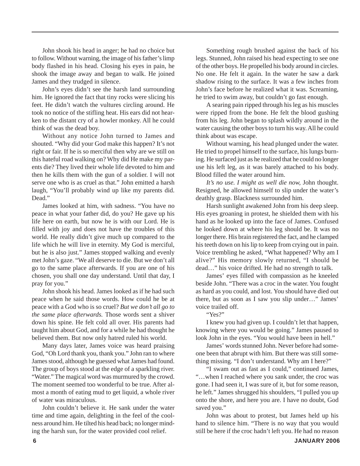John shook his head in anger; he had no choice but to follow. Without warning, the image of his father's limp body flashed in his head. Closing his eyes in pain, he shook the image away and began to walk. He joined James and they trudged in silence.

John's eyes didn't see the harsh land surrounding him. He ignored the fact that tiny rocks were slicing his feet. He didn't watch the vultures circling around. He took no notice of the stifling heat. His ears did not hearken to the distant cry of a howler monkey. All he could think of was the dead boy.

Without any notice John turned to James and shouted. "Why did your God make this happen? It's not right or fair. If he is so merciful then why are we still on this hateful road walking on? Why did He make my parents die? They lived their whole life devoted to him and then he kills them with the gun of a soldier. I will not serve one who is as cruel as that." John emitted a harsh laugh, "You'll probably wind up like my parents did. Dead."

James looked at him, with sadness. "You have no peace in what your father did, do you? He gave up his life here on earth, but now he is with our Lord. He is filled with joy and does not have the troubles of this world. He really didn't give much up compared to the life which he will live in eternity. My God is merciful, but he is also just." James stopped walking and evenly met John's gaze. "We all deserve to die. But we don't all go to the same place afterwards. If you are one of his chosen, you shall one day understand. Until that day, I pray for you."

John shook his head. James looked as if he had such peace when he said those words. How could he be at peace with a God who is so cruel? *But we don't all go to the same place afterwards.* Those words sent a shiver down his spine. He felt cold all over. His parents had taught him about God, and for a while he had thought he believed them. But now only hatred ruled his world.

Many days later, James voice was heard praising God, "Oh Lord thank you, thank you." John ran to where James stood, although he guessed what James had found. The group of boys stood at the edge of a sparkling river. "Water." The magical word was murmured by the crowd. The moment seemed too wonderful to be true. After almost a month of eating mud to get liquid, a whole river of water was miraculous.

John couldn't believe it. He sank under the water time and time again, delighting in the feel of the coolness around him. He tilted his head back; no longer minding the harsh sun, for the water provided cool relief.

Something rough brushed against the back of his legs. Stunned, John raised his head expecting to see one of the other boys. He propelled his body around in circles. No one. He felt it again. In the water he saw a dark shadow rising to the surface. It was a few inches from John's face before he realized what it was. Screaming, he tried to swim away, but couldn't go fast enough.

A searing pain ripped through his leg as his muscles were ripped from the bone. He felt the blood gushing from his leg. John began to splash wildly around in the water causing the other boys to turn his way. All he could think about was escape.

Without warning, his head plunged under the water. He tried to propel himself to the surface, his lungs burning. He surfaced just as he realized that he could no longer use his left leg, as it was barely attached to his body. Blood filled the water around him.

*It's no use. I might as well die now,* John thought. Resigned, he allowed himself to slip under the water's deathly grasp. Blackness surrounded him.

Harsh sunlight awakened John from his deep sleep. His eyes groaning in protest, he shielded them with his hand as he looked up into the face of James. Confused he looked down at where his leg should be. It was no longer there. His brain registered the fact, and he clamped his teeth down on his lip to keep from crying out in pain. Voice trembling he asked, "What happened? Why am I alive?" His memory slowly returned, "I should be dead…" his voice drifted. He had no strength to talk.

James' eyes filled with compassion as he kneeled beside John. "There was a croc in the water. You fought as hard as you could, and lost. You should have died out there, but as soon as I saw you slip under…" James' voice trailed off.

"Yes?"

I knew you had given up. I couldn't let that happen, knowing where you would be going." James paused to look John in the eyes. "You would have been in hell."

James' words stunned John. Never before had someone been that abrupt with him. But there was still something missing. "I don't understand. Why am I here?"

"I swam out as fast as I could," continued James, "…when I reached where you sank under, the croc was gone. I had seen it, I was sure of it, but for some reason, he left." James shrugged his shoulders, "I pulled you up onto the shore, and here you are. I have no doubt, God saved you."

John was about to protest, but James held up his hand to silence him. "There is no way that you would still be here if the croc hadn't left you. He had no reason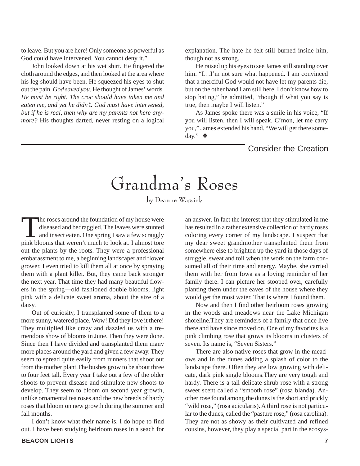to leave. But you are here! Only someone as powerful as God could have intervened. You cannot deny it."

John looked down at his wet shirt. He fingered the cloth around the edges, and then looked at the area where his leg should have been. He squeezed his eyes to shut out the pain. *God saved you.* He thought of James' words. *He must be right. The croc should have taken me and eaten me, and yet he didn't. God must have intervened, but if he is real, then why are my parents not here anymore?* His thoughts darted, never resting on a logical

explanation. The hate he felt still burned inside him, though not as strong.

He raised up his eyes to see James still standing over him. "I...I'm not sure what happened. I am convinced that a merciful God would not have let my parents die, but on the other hand I am still here. I don't know how to stop hating," he admitted, "though if what you say is true, then maybe I will listen."

As James spoke there was a smile in his voice, "If you will listen, then I will speak. C'mon, let me carry you," James extended his hand. "We will get there someday." ❖

#### Consider the Creation

# Grandma's Roses

by Deanne Wassink

The roses around the foundation of my house were<br>diseased and bedraggled. The leaves were stunted<br>and insect eaten. One spring I saw a few scraggly<br>pink blooms that weren't much to look at I almost tore diseased and bedraggled. The leaves were stunted and insect eaten. One spring I saw a few scraggly pink blooms that weren't much to look at. I almost tore out the plants by the roots. They were a professional embarassment to me, a beginning landscaper and flower grower. I even tried to kill them all at once by spraying them with a plant killer. But, they came back stronger the next year. That time they had many beautiful flowers in the spring—old fashioned double blooms, light pink with a delicate sweet aroma, about the size of a daisy.

Out of curiosity, I transplanted some of them to a more sunny, watered place. Wow! Did they love it there! They multiplied like crazy and dazzled us with a tremendous show of blooms in June. Then they were done. Since then I have divided and transplanted them many more places around the yard and given a few away. They seem to spread quite easily from runners that shoot out from the mother plant.The bushes grow to be about three to four feet tall. Every year I take out a few of the older shoots to prevent disease and stimulate new shoots to develop. They seem to bloom on second year growth, unlike ornamental tea roses and the new breeds of hardy roses that bloom on new growth during the summer and fall months.

I don't know what their name is. I do hope to find out. I have been studying heirloom roses in a seach for

an answer. In fact the interest that they stimulated in me has resulted in a rather extensive collection of hardy roses coloring every corner of my landscape. I suspect that my dear sweet grandmother transplanted them from somewhere else to brighten up the yard in those days of struggle, sweat and toil when the work on the farm consumed all of their time and energy. Maybe, she carried them with her from Iowa as a loving reminder of her family there. I can picture her stooped over, carefully planting them under the eaves of the house where they would get the most water. That is where I found them.

Now and then I find other heirloom roses growing in the woods and meadows near the Lake Michigan shoreline.They are reminders of a family that once live there and have since moved on. One of my favorites is a pink climbing rose that grows its blooms in clusters of seven. Its name is, "Seven Sisters."

There are also native roses that grow in the meadows and in the dunes adding a splash of color to the landscape there. Often they are low growing with delicate, dark pink single blooms.They are very tough and hardy. There is a tall delicate shrub rose with a strong sweet scent called a "smooth rose" (rosa blanda). Another rose found among the dunes is the short and prickly "wild rose," (rosa acicularis). A third rose is not particular to the dunes, called the "pasture rose," (rosa carolina). They are not as showy as their cultivated and refined cousins, however, they play a special part in the ecosys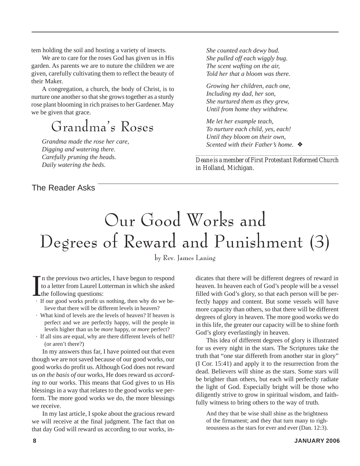tem holding the soil and hosting a variety of insects.

We are to care for the roses God has given us in His garden. As parents we are to nuture the children we are given, carefully cultivating them to reflect the beauty of their Maker.

A congregation, a church, the body of Christ, is to nurture one another so that she grows together as a sturdy rose plant blooming in rich praises to her Gardener. May we be given that grace.

## Grandma's Roses

*Grandma made the rose her care, Digging and watering there. Carefully pruning the heads. Daily watering the beds.*

*She counted each dewy bud. She pulled off each wiggly bug. The scent wafting on the air, Told her that a bloom was there.*

*Growing her children, each one, Including my dad, her son, She nurtured them as they grew, Until from home they withdrew.*

*Me let her example teach, To nurture each child, yes, each! Until they bloom on their own, Scented with their Father's home.* ❖

*\_\_\_\_\_\_\_\_\_\_\_\_\_\_\_\_\_\_\_\_\_\_\_\_\_\_\_\_\_\_\_\_\_\_\_\_\_\_\_\_\_\_\_\_\_\_\_\_\_\_\_\_\_\_\_\_ Deane is a member of First Protestant Reformed Church in Holland, Michigan.*

#### The Reader Asks

# Our Good Works and Degrees of Reward and Punishment (3)

by Rev. James Laning

I n the previous two articles, I have begun to respond to a letter from Laurel Lotterman in which she asked the following questions:

- · If our good works profit us nothing, then why do we believe that there will be different levels in heaven?
- · What kind of levels are the levels of heaven? If heaven is perfect and we are perfectly happy, will the people in levels higher than us be *more* happy, or *more* perfect?
- · If all sins are equal, why are there different levels of hell? (or aren't there?)

In my answers thus far, I have pointed out that even though we are not saved because of our good works, our good works do profit us. Although God does not reward us *on the basis of* our works, He does reward us *according to* our works. This means that God gives to us His blessings in a way that relates to the good works we perform. The more good works we do, the more blessings we receive.

In my last article, I spoke about the gracious reward we will receive at the final judgment. The fact that on that day God will reward us according to our works, indicates that there will be different degrees of reward in heaven. In heaven each of God's people will be a vessel filled with God's glory, so that each person will be perfectly happy and content. But some vessels will have more capacity than others, so that there will be different degrees of glory in heaven. The more good works we do in this life, the greater our capacity will be to shine forth God's glory everlastingly in heaven.

This idea of different degrees of glory is illustrated for us every night in the stars. The Scriptures take the truth that "one star differeth from another star in glory" (I Cor. 15:41) and apply it to the resurrection from the dead. Believers will shine as the stars. Some stars will be brighter than others, but each will perfectly radiate the light of God. Especially bright will be those who diligently strive to grow in spiritual wisdom, and faithfully witness to bring others to the way of truth.

And they that be wise shall shine as the brightness of the firmament; and they that turn many to righteousness as the stars for ever and ever (Dan. 12:3).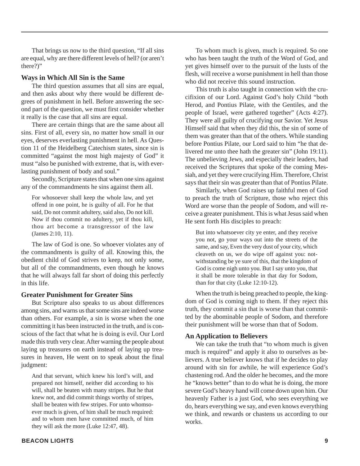That brings us now to the third question, "If all sins are equal, why are there different levels of hell? (or aren't there?)"

#### **Ways in Which All Sin is the Same**

The third question assumes that all sins are equal, and then asks about why there would be different degrees of punishment in hell. Before answering the second part of the question, we must first consider whether it really is the case that all sins are equal.

There are certain things that are the same about all sins. First of all, every sin, no matter how small in our eyes, deserves everlasting punishment in hell. As Question 11 of the Heidelberg Catechism states, since sin is committed "against the most high majesty of God" it must "also be punished with extreme, that is, with everlasting punishment of body and soul."

Secondly, Scripture states that when one sins against any of the commandments he sins against them all.

For whosoever shall keep the whole law, and yet offend in one point, he is guilty of all. For he that said, Do not commit adultery, said also, Do not kill. Now if thou commit no adultery, yet if thou kill, thou art become a transgressor of the law (James 2:10, 11).

The law of God is one. So whoever violates any of the commandments is guilty of all. Knowing this, the obedient child of God strives to keep, not only some, but all of the commandments, even though he knows that he will always fall far short of doing this perfectly in this life.

#### **Greater Punishment for Greater Sins**

But Scripture also speaks to us about differences among sins, and warns us that some sins are indeed worse than others. For example, a sin is worse when the one committing it has been instructed in the truth, and is conscious of the fact that what he is doing is evil. Our Lord made this truth very clear. After warning the people about laying up treasures on earth instead of laying up treasures in heaven, He went on to speak about the final judgment:

And that servant, which knew his lord's will, and prepared not himself, neither did according to his will, shall be beaten with many stripes. But he that knew not, and did commit things worthy of stripes, shall be beaten with few stripes. For unto whomsoever much is given, of him shall be much required: and to whom men have committed much, of him they will ask the more (Luke 12:47, 48).

To whom much is given, much is required. So one who has been taught the truth of the Word of God, and yet gives himself over to the pursuit of the lusts of the flesh, will receive a worse punishment in hell than those who did not receive this sound instruction.

This truth is also taught in connection with the crucifixion of our Lord. Against God's holy Child "both Herod, and Pontius Pilate, with the Gentiles, and the people of Israel, were gathered together" (Acts 4:27). They were all guilty of crucifying our Savior. Yet Jesus Himself said that when they did this, the sin of some of them was greater than that of the others. While standing before Pontius Pilate, our Lord said to him "he that delivered me unto thee hath the greater sin" (John 19:11). The unbelieving Jews, and especially their leaders, had received the Scriptures that spoke of the coming Messiah, and yet they were crucifying Him. Therefore, Christ says that their sin was greater than that of Pontius Pilate.

Similarly, when God raises up faithful men of God to preach the truth of Scripture, those who reject this Word are worse than the people of Sodom, and will receive a greater punishment. This is what Jesus said when He sent forth His disciples to preach:

But into whatsoever city ye enter, and they receive you not, go your ways out into the streets of the same, and say, Even the very dust of your city, which cleaveth on us, we do wipe off against you: notwithstanding be ye sure of this, that the kingdom of God is come nigh unto you. But I say unto you, that it shall be more tolerable in that day for Sodom, than for that city (Luke 12:10-12).

When the truth is being preached to people, the kingdom of God is coming nigh to them. If they reject this truth, they commit a sin that is worse than that committed by the abominable people of Sodom, and therefore their punishment will be worse than that of Sodom.

#### **An Application to Believers**

We can take the truth that "to whom much is given much is required" and apply it also to ourselves as believers. A true believer knows that if he decides to play around with sin for awhile, he will experience God's chastening rod. And the older he becomes, and the more he "knows better" than to do what he is doing, the more severe God's heavy hand will come down upon him. Our heavenly Father is a just God, who sees everything we do, hears everything we say, and even knows everything we think, and rewards or chastens us according to our works.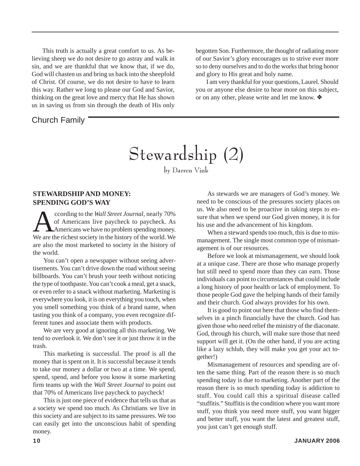This truth is actually a great comfort to us. As believing sheep we do not desire to go astray and walk in sin, and we are thankful that we know that, if we do, God will chasten us and bring us back into the sheepfold of Christ. Of course, we do not desire to have to learn this way. Rather we long to please our God and Savior, thinking on the great love and mercy that He has shown us in saving us from sin through the death of His only

#### Church Family

begotten Son. Furthermore, the thought of radiating more of our Savior's glory encourages us to strive ever more so to deny ourselves and to do the works that bring honor and glory to His great and holy name.

I am very thankful for your questions, Laurel. Should you or anyone else desire to hear more on this subject, or on any other, please write and let me know. ❖

# Stewardship (2)

by Darren Vink

#### **STEWARDSHIP AND MONEY: SPENDING GOD'S WAY**

cording to the *Wall Street Journal*, nearly 70%<br>of Americans live paycheck to paycheck. As<br>Americans we have no problem spending money. of Americans live paycheck to paycheck. As Americans we have no problem spending money. We are the richest society in the history of the world. We are also the most marketed to society in the history of the world.

You can't open a newspaper without seeing advertisements. You can't drive down the road without seeing billboards. You can't brush your teeth without noticing the type of toothpaste. You can't cook a meal, get a snack, or even refer to a snack without marketing. Marketing is everywhere you look, it is on everything you touch, when you smell something you think of a brand name, when tasting you think of a company, you even recognize different tunes and associate them with products.

We are very good at ignoring all this marketing. We tend to overlook it. We don't see it or just throw it in the trash.

This marketing is successful. The proof is all the money that is spent on it. It is successful because it tends to take our money a dollar or two at a time. We spend, spend, spend, and before you know it some marketing firm teams up with the *Wall Street Journal* to point out that 70% of Americans live paycheck to paycheck!

This is just one piece of evidence that tells us that as a society we spend too much. As Christians we live in this society and are subject to its same pressures. We too can easily get into the unconscious habit of spending money.

As stewards we are managers of God's money. We need to be conscious of the pressures society places on us. We also need to be proactive in taking steps to ensure that when we spend our God given money, it is for his use and the advancement of his kingdom.

When a steward spends too much, this is due to mismanagement. The single most common type of mismanagement is of our resources.

Before we look at mismanagement, we should look at a unique case. There are those who manage properly but still need to spend more than they can earn. Those individuals can point to circumstances that could include a long history of poor health or lack of employment. To those people God gave the helping hands of their family and their church. God always provides for his own.

It is good to point out here that those who find themselves in a pinch financially have the church. God has given those who need relief the ministry of the diaconate. God, through his church, will make sure those that need support will get it. (On the other hand, if you are acting like a lazy schlub, they will make you get your act together!)

Mismanagement of resources and spending are often the same thing. Part of the reason there is so much spending today is due to marketing. Another part of the reason there is so much spending today is addiction to stuff. You could call this a spiritual disease called "stuffitis." Stuffitis is the condition where you want more stuff, you think you need more stuff, you want bigger and better stuff, you want the latest and greatest stuff, you just can't get enough stuff.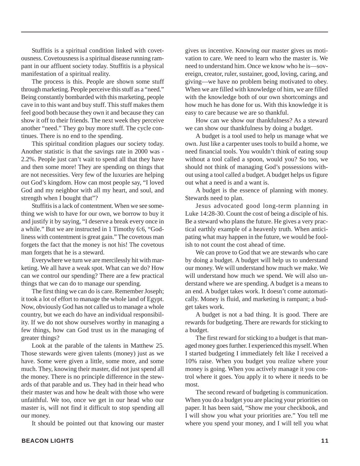Stuffitis is a spiritual condition linked with covetousness. Covetousness is a spiritual disease running rampant in our affluent society today. Stuffitis is a physical manifestation of a spiritual reality.

The process is this. People are shown some stuff through marketing. People perceive this stuff as a "need." Being constantly bombarded with this marketing, people cave in to this want and buy stuff. This stuff makes them feel good both because they own it and because they can show it off to their friends. The next week they perceive another "need." They go buy more stuff. The cycle continues. There is no end to the spending.

This spiritual condition plagues our society today. Another statistic is that the savings rate in 2000 was - 2.2%. People just can't wait to spend all that they have and then some more! They are spending on things that are not necessities. Very few of the luxuries are helping out God's kingdom. How can most people say, "I loved God and my neighbor with all my heart, and soul, and strength when I bought that"?

Stuffitis is a lack of contentment. When we see something we wish to have for our own, we borrow to buy it and justify it by saying, "I deserve a break every once in a while." But we are instructed in 1 Timothy 6:6, "Godliness with contentment is great gain." The covetous man forgets the fact that the money is not his! The covetous man forgets that he is a steward.

Everywhere we turn we are mercilessly hit with marketing. We all have a weak spot. What can we do? How can we control our spending? There are a few practical things that we can do to manage our spending.

The first thing we can do is care. Remember Joseph; it took a lot of effort to manage the whole land of Egypt. Now, obviously God has not called us to manage a whole country, but we each do have an individual responsibility. If we do not show ourselves worthy in managing a few things, how can God trust us in the managing of greater things?

Look at the parable of the talents in Matthew 25. Those stewards were given talents (money) just as we have. Some were given a little, some more, and some much. They, knowing their master, did not just spend all the money. There is no principle difference in the stewards of that parable and us. They had in their head who their master was and how he dealt with those who were unfaithful. We too, once we get in our head who our master is, will not find it difficult to stop spending all our money.

It should be pointed out that knowing our master

gives us incentive. Knowing our master gives us motivation to care. We need to learn who the master is. We need to understand him. Once we know who he is—sovereign, creator, ruler, sustainer, good, loving, caring, and giving—we have no problem being motivated to obey. When we are filled with knowledge of him, we are filled with the knowledge both of our own shortcomings and how much he has done for us. With this knowledge it is easy to care because we are so thankful.

How can we show our thankfulness? As a steward we can show our thankfulness by doing a budget.

A budget is a tool used to help us manage what we own. Just like a carpenter uses tools to build a home, we need financial tools. You wouldn't think of eating soup without a tool called a spoon, would you? So too, we should not think of managing God's possessions without using a tool called a budget. A budget helps us figure out what a need is and a want is.

A budget is the essence of planning with money. Stewards need to plan.

Jesus advocated good long-term planning in Luke 14:28-30. Count the cost of being a disciple of his. Be a steward who plans the future. He gives a very practical earthly example of a heavenly truth. When anticipating what may happen in the future, we would be foolish to not count the cost ahead of time.

We can prove to God that we are stewards who care by doing a budget. A budget will help us to understand our money. We will understand how much we make. We will understand how much we spend. We will also understand where we are spending. A budget is a means to an end. A budget takes work. It doesn't come automatically. Money is fluid, and marketing is rampant; a budget takes work.

A budget is not a bad thing. It is good. There are rewards for budgeting. There are rewards for sticking to a budget.

The first reward for sticking to a budget is that managed money goes further. I experienced this myself. When I started budgeting I immediately felt like I received a 10% raise. When you budget you realize where your money is going. When you actively manage it you control where it goes. You apply it to where it needs to be most.

The second reward of budgeting is communication. When you do a budget you are placing your priorities on paper. It has been said, "Show me your checkbook, and I will show you what your priorities are." You tell me where you spend your money, and I will tell you what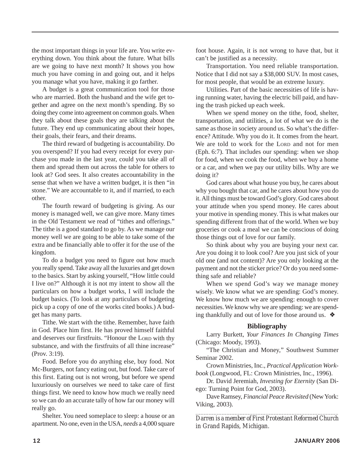the most important things in your life are. You write everything down. You think about the future. What bills are we going to have next month? It shows you how much you have coming in and going out, and it helps you manage what you have, making it go farther.

A budget is a great communication tool for those who are married. Both the husband and the wife get together and agree on the next month's spending. By so doing they come into agreement on common goals. When they talk about these goals they are talking about the future. They end up communicating about their hopes, their goals, their fears, and their dreams.

The third reward of budgeting is accountability. Do you overspend? If you had every receipt for every purchase you made in the last year, could you take all of them and spread them out across the table for others to look at? God sees. It also creates accountability in the sense that when we have a written budget, it is then "in stone." We are accountable to it, and if married, to each other.

The fourth reward of budgeting is giving. As our money is managed well, we can give more. Many times in the Old Testament we read of "tithes and offerings." The tithe is a good standard to go by. As we manage our money well we are going to be able to take some of the extra and be financially able to offer it for the use of the kingdom.

To do a budget you need to figure out how much you really spend. Take away all the luxuries and get down to the basics. Start by asking yourself, "How little could I live on?" Although it is not my intent to show all the particulars on how a budget works, I will include the budget basics. (To look at any particulars of budgeting pick up a copy of one of the works cited books.) A budget has many parts.

Tithe. We start with the tithe. Remember, have faith in God. Place him first. He has proved himself faithful and deserves our firstfruits. "Honour the LORD with thy substance, and with the firstfruits of all thine increase" (Prov. 3:19).

Food. Before you do anything else, buy food. Not Mc-Burgers, not fancy eating out, but food. Take care of this first. Eating out is not wrong, but before we spend luxuriously on ourselves we need to take care of first things first. We need to know how much we really need so we can do an accurate tally of how far our money will really go.

Shelter. You need someplace to sleep: a house or an apartment. No one, even in the USA, *needs* a 4,000 square

foot house. Again, it is not wrong to have that, but it can't be justified as a necessity.

Transportation. You need reliable transportation. Notice that I did not say a \$38,000 SUV. In most cases, for most people, that would be an extreme luxury.

Utilities. Part of the basic necessities of life is having running water, having the electric bill paid, and having the trash picked up each week.

When we spend money on the tithe, food, shelter, transportation, and utilities, a lot of what we do is the same as those in society around us. So what's the difference? Attitude. Why you do it. It comes from the heart. We are told to work for the LORD and not for men (Eph. 6:7). That includes our spending: when we shop for food, when we cook the food, when we buy a home or a car, and when we pay our utility bills. Why are we doing it?

God cares about what house you buy, he cares about why you bought that car, and he cares about how you do it. All things must be toward God's glory. God cares about your attitude when you spend money. He cares about your motive in spending money. This is what makes our spending different from that of the world. When we buy groceries or cook a meal we can be conscious of doing those things out of love for our family.

So think about why you are buying your next car. Are you doing it to look cool? Are you just sick of your old one (and not content)? Are you only looking at the payment and not the sticker price? Or do you need something safe and reliable?

When we spend God's way we manage money wisely. We know what we are spending: God's money. We know how much we are spending: enough to cover necessities. We know why we are spending: we are spending thankfully and out of love for those around us. ❖

#### **Bibliography**

Larry Burkett, *Your Finances In Changing Times* (Chicago: Moody, 1993).

"The Christian and Money," Southwest Summer Seminar 2002.

Crown Ministries, Inc., *Practical Application Workbook* (Longwood, FL: Crown Ministries, Inc., 1996).

Dr. David Jeremiah, *Investing for Eternity* (San Diego: Turning Point for God, 2003).

Dave Ramsey, *Financial Peace Revisited* (New York: Viking, 2003).

*\_\_\_\_\_\_\_\_\_\_\_\_\_\_\_\_\_\_\_\_\_\_\_\_\_\_\_\_\_\_\_\_\_\_\_\_\_\_\_\_\_\_\_\_\_\_\_\_\_\_\_\_\_\_\_ Darren is a member of First Protestant Reformed Church in Grand Rapids, Michigan.*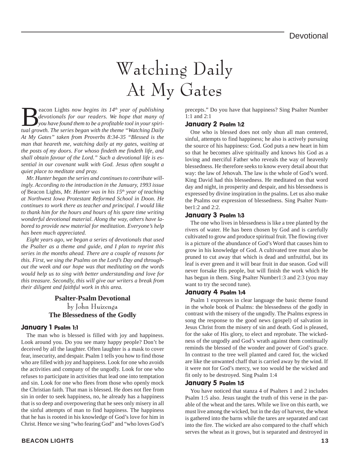# Watching Daily At My Gates

**B**eacon Lights now begins its 14<sup>th</sup> year of publishing<br>devotionals for our readers. We hope that many of<br>you have found them to be a profitable tool in your spiri-<br>tual growth. The series began with the theme "Watching D *devotionals for our readers. We hope that many of you have found them to be a profitable tool in your spiritual growth. The series began with the theme "Watching Daily At My Gates" taken from Proverbs 8:34-35 "Blessed is the man that heareth me, watching daily at my gates, waiting at the posts of my doors. For whoso findeth me findeth life, and shall obtain favour of the Lord." Such a devotional life is essential in our covenant walk with God. Jesus often sought a quiet place to meditate and pray.*

*Mr. Hunter began the series and continues to contribute willingly. According to the introduction in the January, 1993 issue of* Beacon Lights*, Mr. Hunter was in his 15th year of teaching at Northwest Iowa Protestant Reformed School in Doon. He continues to work there as teacher and principal. I would like to thank him for the hours and hours of his spare time writing wonderful devotional material. Along the way, others have labored to provide new material for meditation. Everyone's help has been much appreciated.*

*Eight years ago, we began a series of devotionals that used the Psalter as a theme and guide, and I plan to reprint this series in the months ahead. There are a couple of reasons for this. First, we sing the Psalms on the Lord's Day and throughout the week and our hope was that meditating on the words would help us to sing with better understanding and love for this treasure. Secondly, this will give our writers a break from their diligent and faithful work in this area.*

#### **Psalter-Psalm Devotional** by John Huizenga **The Blessedness of the Godly**

#### January 1 Psalm 1:1

The man who is blessed is filled with joy and happiness. Look around you. Do you see many happy people? Don't be deceived by all the laughter. Often laughter is a mask to cover fear, insecurity, and despair. Psalm 1 tells you how to find those who are filled with joy and happiness. Look for one who avoids the activities and company of the ungodly. Look for one who refuses to participate in activities that lead one into temptation and sin. Look for one who flees from those who openly mock the Christian faith. That man is blessed. He does not flee from sin in order to seek happiness, no, he already has a happiness that is so deep and overpowering that he sees only misery in all the sinful attempts of man to find happiness. The happiness that he has is rooted in his knowledge of God's love for him in Christ. Hence we sing "who fearing God" and "who loves God's precepts." Do you have that happiness? Sing Psalter Number 1:1 and 2:1

#### January 2 Psalm 1:2

One who is blessed does not only shun all man centered, sinful, attempts to find happiness; he also is actively pursuing the source of his happiness: God. God puts a new heart in him so that he becomes alive spiritually and knows his God as a loving and merciful Father who reveals the way of heavenly blessedness. He therefore seeks to know every detail about that way: the law of Jehovah. The law is the whole of God's word. King David had this blessedness. He meditated on that word day and night, in prosperity and despair, and his blessedness is expressed by divine inspiration in the psalms. Let us also make the Psalms our expression of blessedness. Sing Psalter Number1:2 and 2:2.

#### January 3 Psalm 1:3

The one who lives in blessedness is like a tree planted by the rivers of water. He has been chosen by God and is carefully cultivated to grow and produce spiritual fruit. The flowing river is a picture of the abundance of God's Word that causes him to grow in his knowledge of God. A cultivated tree must also be pruned to cut away that which is dead and unfruitful, but its leaf is ever green and it will bear fruit in due season. God will never forsake His people, but will finish the work which He has begun in them. Sing Psalter Number1:3 and 2:3 (you may want to try the second tune).

#### January 4 Psalm 1:4

Psalm 1 expresses in clear language the basic theme found in the whole book of Psalms: the blessedness of the godly in contrast with the misery of the ungodly. The Psalms express in song the response to the good news (gospel) of salvation in Jesus Christ from the misery of sin and death. God is pleased, for the sake of His glory, to elect and reprobate. The wickedness of the ungodly and God's wrath against them continually reminds the blessed of the wonder and power of God's grace. In contrast to the tree well planted and cared for, the wicked are like the unwanted chaff that is carried away by the wind. If it were not for God's mercy, we too would be the wicked and fit only to be destroyed. Sing Psalm 1:4

#### January 5 Psalm 1:5

You have noticed that stanza 4 of Psalters 1 and 2 includes Psalm 1:5 also. Jesus taught the truth of this verse in the parable of the wheat and the tares. While we live on this earth, we must live among the wicked, but in the day of harvest, the wheat is gathered into the barns while the tares are separated and cast into the fire. The wicked are also compared to the chaff which serves the wheat as it grows, but is separated and destroyed in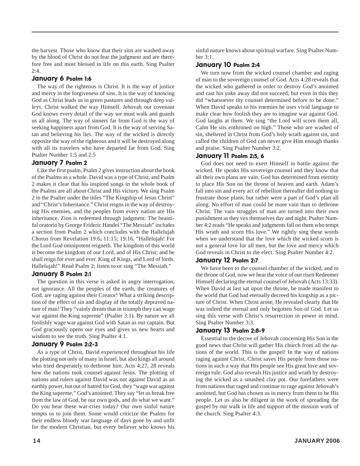the harvest. Those who know that their sins are washed away by the blood of Christ do not fear the judgment and are therefore free and most blessed in life on this earth. Sing Psalter 2:4.

#### January 6 Psalm 1:6

The way of the righteous is Christ. It is the way of justice and mercy in the forgiveness of sins. It is the way of knowing God as Christ leads us in green pastures and through deep valleys. Christ walked the way Himself. Jehovah our covenant God knows every detail of the way we must walk and guards us all along. The way of sinners far from God is the way of seeking happiness apart from God. It is the way of serving Satan and believing his lies. The way of the wicked is directly opposite the way of the righteous and it will be destroyed along with all its travelers who have departed far from God. Sing Psalter Number 1:5 and 2:5

#### January 7 Psalm 2

Like the first psalm, Psalm 2 gives instruction about the book of the Psalms as a whole. David was a type of Christ, and Psalm 2 makes it clear that his inspired songs in the whole book of the Psalms are all about Christ and His victory. We sing Psalm 2 in the Psalter under the titles "The Kingship of Jesus Christ" and "Christ's Inheritance." Christ reigns in the way of destroying His enemies, and the peoples from every nation are His inheritance. Zion is redeemed through judgment. The beautiful oratorio by George Frideric Handel "The Messiah" includes a section from Psalm 2 which concludes with the Hallelujah Chorus from Revelation 19:6; 11:15; 19:16. "Hallelujah! For the Lord God omnipotent reigneth. The kingdom of this world is become the kingdom of our Lord, and of His Christ; and he shall reign for ever and ever. King of Kings, and Lord of lords. Hallelujah!" Read Psalm 2; listen to or sing "The Messiah."

#### January 8 Psalm 2:1

The question in this verse is asked in angry interrogation, not ignorance. All the peoples of the earth, the creatures of God, are raging against their Creator! What a striking description of the effect of sin and display of the totally depraved nature of man! They "vainly dream that in triumph they can wage war against the King supreme" (Psalter 3:1). By nature we all foolishly wage war against God with Satan as our captain. But God graciously opens our eyes and gives us new hearts and wisdom to see the truth. Sing Psalter 4:1.

#### January 9 Psalm 2:2-3

As a type of Christ, David experienced throughout his life the plotting not only of many in Israel, but also kings all around who tried desperately to dethrone him. Acts 4:27, 28 reveals how the nations took counsel against Jesus. The plotting of nations and rulers against David was not against David as an earthly power, but out of hatred for God, they "wage war against the King supreme," God's anointed. They say "let us break free from the law of God, be our own gods, and do what we want." Do you hear these war-cries today? Our own sinful nature tempts us to join them. Some would criticize the Psalms for their endless bloody war language of days gone by and unfit for the modern Christian, but every believer who knows his

sinful nature knows about spiritual warfare. Sing Psalter Number 3:1.

#### January 10 Psalm 2:4

We turn now from the wicked counsel chamber and raging of man to the sovereign counsel of God. Acts 4:28 reveals that the wicked who gathered in order to destroy God's anointed and cast his yoke away did not succeed, but even in this they did "whatsoever thy counsel determined before to be done." When David speaks to his enemies he uses vivid language to make clear how foolish they are to imagine war against God. God laughs at them. We sing "the Lord will scorn them all, Calm He sits enthroned on high." Those who are washed of sin, sheltered in Christ from God's holy wrath against sin, and called the children of God can never give Him enough thanks and praise. Sing Psalter Number 3:2.

#### January 11 Psalm 2:5, 6

God does not need to exert Himself in battle against the wicked. He speaks His sovereign counsel and they know that all their own plans are vain. God has determined from eternity to place His Son on the throne of heaven and earth. Adam's fall into sin and every act of rebellion thereafter did nothing to frustrate those plans, but rather were a part of God's plan all along. No effort of man could be more vain than to dethrone Christ. The vain struggles of man are turned into their own punishment as they vex themselves day and night. Psalter Number 4:2 reads "He speaks and judgments fall on them who tempt His wrath and scorn His love." We rightly sing these words when we understand that the love which the wicked scorn is not a general love for all men, but the love and mercy which God reveals in Christ to the elect. Sing Psalter Number 4:2.

#### January 12 Psalm 2:7

We have been to the counsel chamber of the wicked, and to the throne of God, now we hear the voice of our risen Redeemer Himself declaring the eternal counsel of Jehovah (Acts 13:33). When David at last sat upon the throne, he made manifest to the world that God had eternally decreed his kingship as a picture of Christ. When Christ arose, He revealed clearly that He was indeed the eternal and only begotten Son of God. Let us sing this verse with Christ's resurrection in power in mind. Sing Psalter Number 3:3.

#### January 13 Psalm 2:8-9

Essential to the decree of Jehovah concerning His Son is the good news that Christ will gather His church from all the nations of the world. This is the gospel! In the way of nations raging against Christ, Christ saves His people from those nations in such a way that His people see His great love and sovereign rule. God also reveals His justice and wrath by destroying the wicked as a smashed clay pot. Our forefathers were from nations that raged and continue to rage against Jehovah's anointed, but God has chosen us in mercy from them to be His people. Let us also be diligent in the work of spreading the gospel by our walk in life and support of the mission work of the church. Sing Psalter 4:3.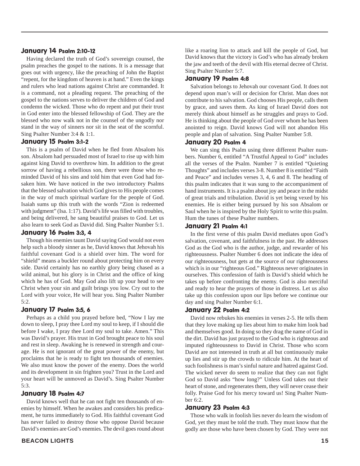#### January 14 Psalm 2:10-12

Having declared the truth of God's sovereign counsel, the psalm preaches the gospel to the nations. It is a message that goes out with urgency, like the preaching of John the Baptist "repent, for the kingdom of heaven is at hand." Even the kings and rulers who lead nations against Christ are commanded. It is a command, not a pleading request. The preaching of the gospel to the nations serves to deliver the children of God and condemn the wicked. Those who do repent and put their trust in God enter into the blessed fellowship of God. They are the blessed who now walk not in the counsel of the ungodly nor stand in the way of sinners nor sit in the seat of the scornful. Sing Psalter Number 3:4 & 1:1.

#### January 15 Psalm 3:1-2

This is a psalm of David when he fled from Absalom his son. Absalom had persuaded most of Israel to rise up with him against king David to overthrow him. In addition to the great sorrow of having a rebellious son, there were those who reminded David of his sins and told him that even God had forsaken him. We have noticed in the two introductory Psalms that the blessed salvation which God gives to His people comes in the way of much spiritual warfare for the people of God. Isaiah sums up this truth with the words "Zion is redeemed with judgment" (Isa. 1:17). David's life was filled with troubles, and being delivered, he sang beautiful praises to God. Let us also learn to seek God as David did. Sing Psalter Number 5:1.

#### January 16 Psalm 3:3, 4

Though his enemies taunt David saying God would not even help such a bloody sinner as he, David knows that Jehovah his faithful covenant God is a shield over him. The word for "shield" means a buckler round about protecting him on every side. David certainly has no earthly glory being chased as a wild animal, but his glory is in Christ and the office of king which he has of God. May God also lift up your head to see Christ when your sin and guilt brings you low. Cry out to the Lord with your voice, He will hear you. Sing Psalter Number 5:2.

#### January 17 Psalm 3:5, 6

Perhaps as a child you prayed before bed, "Now I lay me down to sleep, I pray thee Lord my soul to keep, if I should die before I wake, I pray thee Lord my soul to take. Amen." This was David's prayer. His trust in God brought peace to his soul and rest in sleep. Awaking he is renewed in strength and courage. He is not ignorant of the great power of the enemy, but proclaims that he is ready to fight ten thousands of enemies. We also must know the power of the enemy. Does the world and its development in sin frighten you? Trust in the Lord and your heart will be unmoved as David's. Sing Psalter Number 5:3.

#### January 18 Psalm 4:7

David knows well that he can not fight ten thousands of enemies by himself. When he awakes and considers his predicament, he turns immediately to God. His faithful covenant God has never failed to destroy those who oppose David because David's enemies are God's enemies. The devil goes round about like a roaring lion to attack and kill the people of God, but David knows that the victory is God's who has already broken the jaw and teeth of the devil with His eternal decree of Christ. Sing Psalter Number 5:7.

#### January 19 Psalm 4:8

Salvation belongs to Jehovah our covenant God. It does not depend upon man's will or decision for Christ. Man does not contribute to his salvation. God chooses His people, calls them by grace, and saves them. As king of Israel David does not merely think about himself as he struggles and prays to God. He is thinking about the people of God over whom he has been anointed to reign. David knows God will not abandon His people and plan of salvation. Sing Psalter Number 5:8.

#### January 20 Psalm 4

We can sing this Psalm using three different Psalter numbers. Number 6, entitled "A Trustful Appeal to God" includes all the verses of the Psalm. Number 7 is entitled "Quieting Thoughts" and includes verses 3-8. Number 8 is entitled "Faith and Peace" and includes verses 3, 4, 6 and 8. The heading of this psalm indicates that it was sung to the accompaniment of hand instruments. It is a psalm about joy and peace in the midst of great trials and tribulation. David is yet being vexed by his enemies. He is either being pursued by his son Absalom or Saul when he is inspired by the Holy Spirit to write this psalm. Hum the tunes of these Psalter numbers.

#### January 21 Psalm 4:1

In the first verse of this psalm David mediates upon God's salvation, covenant, and faithfulness in the past. He addresses God as the God who is the author, judge, and rewarder of his righteousness. Psalter Number 6 does not indicate the idea of our righteousness, but gets at the source of our righteousness which is in our "righteous God." Righteous never originates in ourselves. This confession of faith is David's shield which he takes up before confronting the enemy. God is also merciful and ready to hear the prayers of those in distress. Let us also take up this confession upon our lips before we continue our day and sing Psalter Number 6:1.

#### January 22 Psalm 4:2

David now rebukes his enemies in verses 2-5. He tells them that they love making up lies about him to make him look bad and themselves good. In doing so they drag the name of God in the dirt. David has just prayed to the God who is righteous and imputed righteousness to David in Christ. Those who scorn David are not interested in truth at all but continuously make up lies and stir up the crowds to ridicule him. At the heart of such foolishness is man's sinful nature and hatred against God. The wicked never do seem to realize that they can not fight God so David asks "how long?" Unless God takes out their heart of stone, and regenerates them, they will never cease their folly. Praise God for his mercy toward us! Sing Psalter Number  $6.2$ .

#### January 23 Psalm 4:3

Those who walk in foolish lies never do learn the wisdom of God, yet they must be told the truth. They must know that the godly are those who have been chosen by God. They were not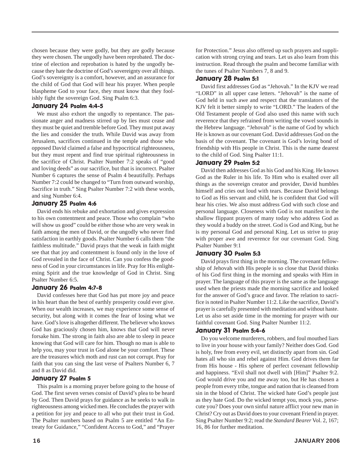chosen because they were godly, but they are godly because they were chosen. The ungodly have been reprobated. The doctrine of election and reprobation is hated by the ungodly because they hate the doctrine of God's sovereignty over all things. God's sovereignty is a comfort, however, and an assurance for the child of God that God will hear his prayer. When people blaspheme God to your face, they must know that they foolishly fight the sovereign God. Sing Psalm 6:3.

#### January 24 Psalm 4:4-5

We must also exhort the ungodly to repentance. The passionate anger and madness stirred up by lies must cease and they must be quiet and tremble before God. They must put away the lies and consider the truth. While David was away from Jerusalem, sacrifices continued in the temple and those who opposed David claimed a false and hypocritical righteousness, but they must repent and find true spiritual righteousness in the sacrifice of Christ. Psalter Number 7:2 speaks of "good and loving deeds" as our sacrifice, but that is incorrect. Psalter Number 6 captures the sense of Psalm 4 beautifully. Perhaps Number 7:2 could be changed to "Turn from outward worship, Sacrifice in truth." Sing Psalter Number 7:2 with these words, and sing Number 6:4.

#### January 25 Psalm 4:6

David ends his rebuke and exhortation and gives expression to his own contentment and peace. Those who complain "who will show us good" could be either those who are very weak in faith among the men of David, or the ungodly who never find satisfaction in earthly goods. Psalter Number 6 calls them "the faithless multitude." David prays that the weak in faith might see that that joy and contentment is found only in the love of God revealed in the face of Christ. Can you confess the goodness of God in your circumstances in life. Pray for His enlightening Spirit and the true knowledge of God in Christ. Sing Psalter Number 6:5.

#### January 26 Psalm 4:7-8

David confesses here that God has put more joy and peace in his heart than the best of earthly prosperity could ever give. When our wealth increases, we may experience some sense of security, but along with it comes the fear of losing what we have. God's love is altogether different. The believer who knows God has graciously chosen him, knows that God will never forsake him. The strong in faith also are able to sleep in peace knowing that God will care for him. Though no man is able to help you, may your trust in God alone be your comfort. These are the treasures which moth and rust can not corrupt. Pray for faith that you can sing the last verse of Psalters Number 6, 7 and 8 as David did.

#### January 27 Psalm 5

This psalm is a morning prayer before going to the house of God. The first seven verses consist of David's plea to be heard by God. Then David prays for guidance as he seeks to walk in righteousness among wicked men. He concludes the prayer with a petition for joy and peace to all who put their trust in God. The Psalter numbers based on Psalm 5 are entitled "An Entreaty for Guidance," "Confident Access to God," and "Prayer

for Protection." Jesus also offered up such prayers and supplication with strong crying and tears. Let us also learn from this instruction. Read through the psalm and become familiar with the tunes of Psalter Numbers 7, 8 and 9.

#### January 28 Psalm 5:1

David first addresses God as "Jehovah." In the KJV we read "LORD" in all upper case letters. "Jehovah" is the name of God held in such awe and respect that the translators of the KJV felt it better simply to write "LORD." The leaders of the Old Testament people of God also used this name with such reverence that they refrained from writing the vowel sounds in the Hebrew language. "Jehovah" is the name of God by which He is known as our covenant God. David addresses God on the basis of the covenant. The covenant is God's loving bond of friendship with His people in Christ. This is the name dearest to the child of God. Sing Psalter 11:1.

#### January 29 Psalm 5:2

David then addresses God as his God and his King. He knows God as the Ruler in his life. To Him who is exalted over all things as the sovereign creator and provider, David humbles himself and cries out loud with tears. Because David belongs to God as His servant and child, he is confident that God will hear his cries. We also must address God with such close and personal language. Closeness with God is not manifest in the shallow flippant prayers of many today who address God as they would a buddy on the street. God is God and King, but he is my personal God and personal King. Let us strive to pray with proper awe and reverence for our covenant God. Sing Psalter Number 9:1

#### January 30 Psalm 5:3

David prays first thing in the morning. The covenant fellowship of Jehovah with His people is so close that David thinks of his God first thing in the morning and speaks with Him in prayer. The language of this prayer is the same as the language used when the priests made the morning sacrifice and looked for the answer of God's grace and favor. The relation to sacrifice is noted in Psalter Number 11:2. Like the sacrifice, David's prayer is carefully presented with meditation and without haste. Let us also set aside time in the morning for prayer with our faithful covenant God. Sing Psalter Number 11:2.

#### January 31 Psalm 5:4-6

Do you welcome murderers, robbers, and foul mouthed liars to live in your house with your family? Neither does God. God is holy, free from every evil, set distinctly apart from sin. God hates all who sin and rebel against Him. God drives them far from His house - His sphere of perfect covenant fellowship and happiness. "Evil shall not dwell with [Him]" Psalter 9:2. God would drive you and me away too, but He has chosen a people from every tribe, tongue and nation that is cleansed from sin in the blood of Christ. The wicked hate God's people just as they hate God. Do the wicked tempt you, mock you, persecute you? Does your own sinful nature afflict your new man in Christ? Cry out as David does to your covenant Friend in prayer. Sing Psalter Number 9:2; read the *Standard Bearer* Vol. 2, 167; 16, 86 for further meditation.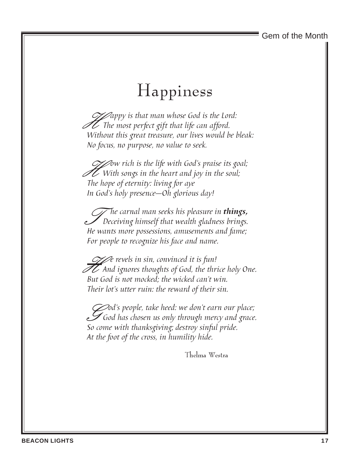# Happiness

H appy is that man whose God is the Lord:<br>In the most perfect gift that life can afford.<br>Without this great treasure, our lives would be The most perfect gift that life can afford. Without this great treasure, our lives would be bleak: No focus, no purpose, no value to seek.

 $\mathcal{U}$  ow rich is the life with God's praise its goal;<br> $\mathcal{U}$  With songs in the heart and joy in the soul;<br>The hone of eternity: living for aye With songs in the heart and joy in the soul; The hope of eternity: living for aye In God's holy presence—Oh glorious day!

The carnal man seeks his pleasure in **things,**<br>Deceiving himself that wealth gladness brings.<br>He wants more possessions, amusements and fame: Deceiving himself that wealth gladness brings. He wants more possessions, amusements and fame; For people to recognize his face and name.

 $\mathcal{L}$  e revels in sin, convinced it is fun!<br>Let and ignores thoughts of God, the thr<br>But God is not mocked: the wicked can't y And ignores thoughts of God, the thrice holy One. But God is not mocked; the wicked can't win. Their lot's utter ruin: the reward of their sin.

God's people, take heed: we don't earn our place;<br>God has chosen us only through mercy and grace<br>So come with thanksgiving: destroy sinful pride God has chosen us only through mercy and grace. So come with thanksgiving; destroy sinful pride. At the foot of the cross, in humility hide.

Thelma Westra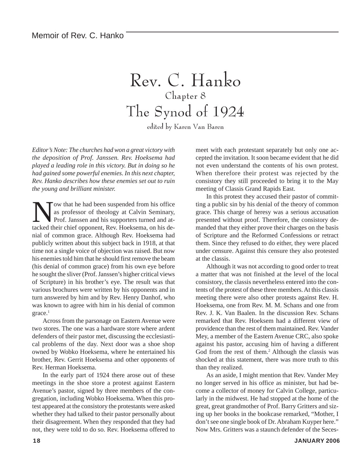## Rev. C. Hanko Chapter 8 The Synod of 1924

edited by Karen Van Baren

*Editor's Note: The churches had won a great victory with the deposition of Prof. Janssen. Rev. Hoeksema had played a leading role in this victory. But in doing so he had gained some powerful enemies. In this next chapter, Rev. Hanko describes how these enemies set out to ruin the young and brilliant minister.*

ow that he had been suspended from his office as professor of theology at Calvin Seminary, Prof. Janssen and his supporters turned and attacked their chief opponent, Rev. Hoeksema, on his denial of common grace. Although Rev. Hoeksema had publicly written about this subject back in 1918, at that time not a single voice of objection was raised. But now his enemies told him that he should first remove the beam (his denial of common grace) from his own eye before he sought the sliver (Prof. Janssen's higher critical views of Scripture) in his brother's eye. The result was that various brochures were written by his opponents and in turn answered by him and by Rev. Henry Danhof, who was known to agree with him in his denial of common  $grace.<sup>1</sup>$ 

Across from the parsonage on Eastern Avenue were two stores. The one was a hardware store where ardent defenders of their pastor met, discussing the ecclesiastical problems of the day. Next door was a shoe shop owned by Wobko Hoeksema, where he entertained his brother, Rev. Gerrit Hoeksema and other opponents of Rev. Herman Hoeksema.

In the early part of 1924 there arose out of these meetings in the shoe store a protest against Eastern Avenue's pastor, signed by three members of the congregation, including Wobko Hoeksema. When this protest appeared at the consistory the protestants were asked whether they had talked to their pastor personally about their disagreement. When they responded that they had not, they were told to do so. Rev. Hoeksema offered to meet with each protestant separately but only one accepted the invitation. It soon became evident that he did not even understand the contents of his own protest. When therefore their protest was rejected by the consistory they still proceeded to bring it to the May meeting of Classis Grand Rapids East.

In this protest they accused their pastor of committing a public sin by his denial of the theory of common grace. This charge of heresy was a serious accusation presented without proof. Therefore, the consistory demanded that they either prove their charges on the basis of Scripture and the Reformed Confessions or retract them. Since they refused to do either, they were placed under censure. Against this censure they also protested at the classis.

Although it was not according to good order to treat a matter that was not finished at the level of the local consistory, the classis nevertheless entered into the contents of the protest of these three members. At this classis meeting there were also other protests against Rev. H. Hoeksema, one from Rev. M. M. Schans and one from Rev. J. K. Van Baalen. In the discussion Rev. Schans remarked that Rev. Hoeksem had a different view of providence than the rest of them maintained. Rev. Vander Mey, a member of the Eastern Avenue CRC, also spoke against his pastor, accusing him of having a different God from the rest of them.<sup>2</sup> Although the classis was shocked at this statement, there was more truth to this than they realized.

As an aside, I might mention that Rev. Vander Mey no longer served in his office as minister, but had become a collector of money for Calvin College, particularly in the midwest. He had stopped at the home of the great, great grandmother of Prof. Barry Gritters and sizing up her books in the bookcase remarked, "Mother, I don't see one single book of Dr. Abraham Kuyper here." Now Mrs. Gritters was a staunch defender of the Seces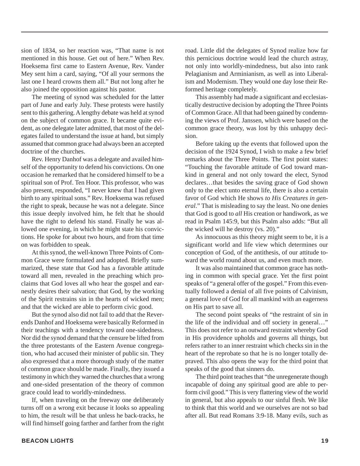sion of 1834, so her reaction was, "That name is not mentioned in this house. Get out of here." When Rev. Hoeksema first came to Eastern Avenue, Rev. Vander Mey sent him a card, saying, "Of all your sermons the last one I heard crowns them all." But not long after he also joined the opposition against his pastor.

The meeting of synod was scheduled for the latter part of June and early July. These protests were hastily sent to this gathering. A lengthy debate was held at synod on the subject of common grace. It became quite evident, as one delegate later admitted, that most of the delegates failed to understand the issue at hand, but simply assumed that common grace had always been an accepted doctrine of the churches.

Rev. Henry Danhof was a delegate and availed himself of the opportunity to defend his convictions. On one occasion he remarked that he considered himself to be a spiritual son of Prof. Ten Hoor. This professor, who was also present, responded, "I never knew that I had given birth to any spiritual sons." Rev. Hoeksema was refused the right to speak, because he was not a delegate. Since this issue deeply involved him, he felt that he should have the right to defend his stand. Finally he was allowed one evening, in which he might state his convictions. He spoke for about two hours, and from that time on was forbidden to speak.

At this synod, the well-known Three Points of Common Grace were formulated and adopted. Briefly summarized, these state that God has a favorable attitude toward all men, revealed in the preaching which proclaims that God loves all who hear the gospel and earnestly desires their salvation; that God, by the working of the Spirit restrains sin in the hearts of wicked men; and that the wicked are able to perform civic good.

But the synod also did not fail to add that the Reverends Danhof and Hoeksema were basically Reformed in their teachings with a tendency toward one-sidedness. Nor did the synod demand that the censure be lifted from the three protestants of the Eastern Avenue congregation, who had accused their minister of public sin. They also expressed that a more thorough study of the matter of common grace should be made. Finally, they issued a testimony in which they warned the churches that a wrong and one-sided presentation of the theory of common grace could lead to worldly-mindedness.

If, when traveling on the freeway one deliberately turns off on a wrong exit because it looks so appealing to him, the result will be that unless he back-tracks, he will find himself going farther and farther from the right road. Little did the delegates of Synod realize how far this pernicious doctrine would lead the church astray, not only into worldly-mindedness, but also into rank Pelagianism and Arminianism, as well as into Liberalism and Modernism. They would one day lose their Reformed heritage completely.

This assembly had made a significant and ecclesiastically destructive decision by adopting the Three Points of Common Grace. All that had been gained by condemning the views of Prof. Janssen, which were based on the common grace theory, was lost by this unhappy decision.

Before taking up the events that followed upon the decision of the 1924 Synod, I wish to make a few brief remarks about the Three Points. The first point states: "Touching the favorable attitude of God toward mankind in general and not only toward the elect, Synod declares…that besides the saving grace of God shown only to the elect unto eternal life, there is also a certain favor of God which He shows *to His Creatures in general*." That is misleading to say the least. No one denies that God is good to *all* His creation or handiwork, as we read in Psalm 145:9, but this Psalm also adds: "But all the wicked will he destroy (vs. 20)."

As innocuous as this theory might seem to be, it is a significant world and life view which determines our conception of God, of the antithesis, of our attitude toward the world round about us, and even much more.

It was also maintained that common grace has nothing in common with special grace. Yet the first point speaks of "a general offer of the gospel." From this eventually followed a denial of all five points of Calvinism, a general love of God for all mankind with an eagerness on His part to save all.

The second point speaks of "the restraint of sin in the life of the individual and off society in general…" This does not refer to an outward restraint whereby God in His providence upholds and governs all things, but refers rather to an inner restraint which checks sin in the heart of the reprobate so that he is no longer totally depraved. This also opens the way for the third point that speaks of the good that sinners do.

The third point teaches that "the unregenerate though incapable of doing any spiritual good are able to perform civil good." This is very flattering view of the world in general, but also appeals to our sinful flesh. We like to think that this world and we ourselves are not so bad after all. But read Romans 3:9-18. Many evils, such as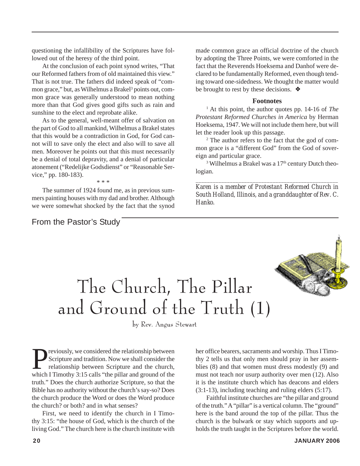questioning the infallibility of the Scriptures have followed out of the heresy of the third point.

At the conclusion of each point synod writes, "That our Reformed fathers from of old maintained this view." That is not true. The fathers did indeed speak of "common grace," but, as Wilhelmus a Brakel<sup>3</sup> points out, common grace was generally understood to mean nothing more than that God gives good gifts such as rain and sunshine to the elect and reprobate alike.

As to the general, well-meant offer of salvation on the part of God to all mankind, Wilhelmus a Brakel states that this would be a contradiction in God, for God cannot will to save only the elect and also will to save all men. Moreover he points out that this must necessarily be a denial of total depravity, and a denial of particular atonement ("Redelijke Godsdienst" or "Reasonable Service," pp. 180-183).

\* \* \*

The summer of 1924 found me, as in previous summers painting houses with my dad and brother. Although we were somewhat shocked by the fact that the synod

#### From the Pastor's Study

made common grace an official doctrine of the church by adopting the Three Points, we were comforted in the fact that the Reverends Hoeksema and Danhof were declared to be fundamentally Reformed, even though tending toward one-sidedness. We thought the matter would be brought to rest by these decisions. ❖

#### **Footnotes**

1 At this point, the author quotes pp. 14-16 of *The Protestant Reformed Churches in America* by Herman Hoeksema, 1947. We will not include them here, but will let the reader look up this passage.

2 The author refers to the fact that the god of common grace is a "different God" from the God of sovereign and particular grace.

 $3$  Wilhelmus a Brakel was a  $17<sup>th</sup>$  century Dutch theologian.

*\_\_\_\_\_\_\_\_\_\_\_\_\_\_\_\_\_\_\_\_\_\_\_\_\_\_\_\_\_\_\_\_\_\_\_\_\_\_\_\_\_\_\_\_\_\_\_\_\_\_*

*Karen is a member of Protestant Reformed Church in South Holland, Illinois, and a granddaughter of Rev. C. Hanko.*



# The Church, The Pillar and Ground of the Truth (1)

by Rev. Angus Stewart

**Previously, we considered the relationship between**<br>Scripture and tradition. Now we shall consider the<br>relationship between Scripture and the church,<br>which I Timothy 3:15 calls "the pillar and ground of the Scripture and tradition. Now we shall consider the relationship between Scripture and the church, which I Timothy 3:15 calls "the pillar and ground of the truth." Does the church authorize Scripture, so that the Bible has no authority without the church's say-so? Does the church produce the Word or does the Word produce the church? or both? and in what senses?

First, we need to identify the church in I Timothy 3:15: "the house of God, which is the church of the living God." The church here is the church institute with

her office bearers, sacraments and worship. Thus I Timothy 2 tells us that only men should pray in her assemblies (8) and that women must dress modestly (9) and must not teach nor usurp authority over men (12). Also it is the institute church which has deacons and elders (3:1-13), including teaching and ruling elders (5:17).

Faithful institute churches are "the pillar and ground of the truth." A "pillar" is a vertical column. The "ground" here is the band around the top of the pillar. Thus the church is the bulwark or stay which supports and upholds the truth taught in the Scriptures before the world.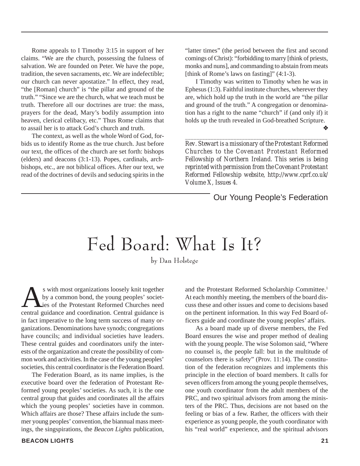Rome appeals to I Timothy 3:15 in support of her claims. "We are *the* church, possessing the fulness of salvation. We are founded on Peter. We have the pope, tradition, the seven sacraments, etc. We are indefectible; our church can never apostatize." In effect, they read, "the [Roman] church" is "the pillar and ground of the truth." "Since we are the church, what we teach must be truth. Therefore all our doctrines are true: the mass, prayers for the dead, Mary's bodily assumption into heaven, clerical celibacy, etc." Thus Rome claims that to assail her is to attack God's church and truth.

The context, as well as the whole Word of God, forbids us to identify Rome as the true church. Just before our text, the offices of the church are set forth: bishops (elders) and deacons (3:1-13). Popes, cardinals, archbishops, etc., are not biblical offices. After our text, we read of the doctrines of devils and seducing spirits in the

"latter times" (the period between the first and second comings of Christ): "forbidding to marry [think of priests, monks and nuns], and commanding to abstain from meats [think of Rome's laws on fasting]" (4:1-3).

I Timothy was written to Timothy when he was in Ephesus (1:3). Faithful institute churches, wherever they are, which hold up the truth in the world are "the pillar and ground of the truth." A congregation or denomination has a right to the name "church" if (and only if) it holds up the truth revealed in God-breathed Scripture.

❖

*Rev. Stewart is a missionary of the Protestant Reformed Churches to the Covenant Protestant Reformed Fellowship of Northern Ireland. This series is being reprinted with permission from the Covenant Protestant Reformed Fellowship website, http://www.cprf.co.uk/ Volume X, Issues 4.*

*\_\_\_\_\_\_\_\_\_\_\_\_\_\_\_\_\_\_\_\_\_\_\_\_\_\_\_\_\_\_\_\_\_\_\_\_\_\_\_\_\_\_\_\_\_\_\_\_\_\_*

#### Our Young People's Federation

## Fed Board: What Is It?

#### by Dan Holstege

s with most organizations loosely knit together<br>by a common bond, the young peoples' societ-<br>ies of the Protestant Reformed Churches need<br>central quidance and coordination. Central quidance is by a common bond, the young peoples' societ-Lies of the Protestant Reformed Churches need central guidance and coordination. Central guidance is in fact imperative to the long term success of many organizations. Denominations have synods; congregations have councils; and individual societies have leaders. These central guides and coordinators unify the interests of the organization and create the possibility of common work and activities. In the case of the young peoples' societies, this central coordinator is the Federation Board.

The Federation Board, as its name implies, is the executive board over the federation of Protestant Reformed young peoples' societies. As such, it is the one central group that guides and coordinates all the affairs which the young peoples' societies have in common. Which affairs are those? These affairs include the summer young peoples' convention, the biannual mass meetings, the singspirations, the *Beacon Lights* publication, and the Protestant Reformed Scholarship Committee.<sup>1</sup> At each monthly meeting, the members of the board discuss these and other issues and come to decisions based on the pertinent information. In this way Fed Board officers guide and coordinate the young peoples' affairs.

As a board made up of diverse members, the Fed Board ensures the wise and proper method of dealing with the young people. The wise Solomon said, "Where no counsel is, the people fall: but in the multitude of counselors there is safety" (Prov. 11:14). The constitution of the federation recognizes and implements this principle in the election of board members. It calls for seven officers from among the young people themselves, one youth coordinator from the adult members of the PRC, and two spiritual advisors from among the ministers of the PRC. Thus, decisions are not based on the feeling or bias of a few. Rather, the officers with their experience as young people, the youth coordinator with his "real world" experience, and the spiritual advisors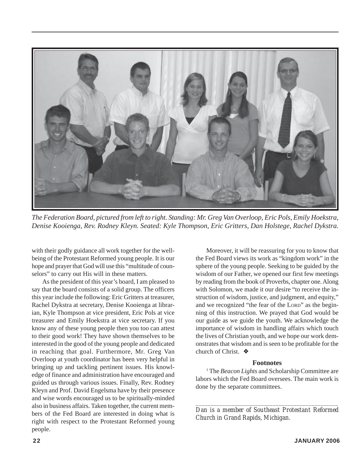

*The Federation Board, pictured from left to right. Standing: Mr. Greg Van Overloop, Eric Pols, Emily Hoekstra, Denise Kooienga, Rev. Rodney Kleyn. Seated: Kyle Thompson, Eric Gritters, Dan Holstege, Rachel Dykstra.*

with their godly guidance all work together for the wellbeing of the Protestant Reformed young people. It is our hope and prayer that God will use this "multitude of counselors" to carry out His will in these matters.

As the president of this year's board, I am pleased to say that the board consists of a solid group. The officers this year include the following: Eric Gritters at treasurer, Rachel Dykstra at secretary, Denise Kooienga at librarian, Kyle Thompson at vice president, Eric Pols at vice treasurer and Emily Hoekstra at vice secretary. If you know any of these young people then you too can attest to their good work! They have shown themselves to be interested in the good of the young people and dedicated in reaching that goal. Furthermore, Mr. Greg Van Overloop at youth coordinator has been very helpful in bringing up and tackling pertinent issues. His knowledge of finance and administration have encouraged and guided us through various issues. Finally, Rev. Rodney Kleyn and Prof. David Engelsma have by their presence and wise words encouraged us to be spiritually-minded also in business affairs. Taken together, the current members of the Fed Board are interested in doing what is right with respect to the Protestant Reformed young people.

Moreover, it will be reassuring for you to know that the Fed Board views its work as "kingdom work" in the sphere of the young people. Seeking to be guided by the wisdom of our Father, we opened our first few meetings by reading from the book of Proverbs, chapter one. Along with Solomon, we made it our desire "to receive the instruction of wisdom, justice, and judgment, and equity," and we recognized "the fear of the LORD" as the beginning of this instruction. We prayed that God would be our guide as we guide the youth. We acknowledge the importance of wisdom in handling affairs which touch the lives of Christian youth, and we hope our work demonstrates that wisdom and is seen to be profitable for the church of Christ.  $\mathbf{\hat{\Phi}}$ 

#### **Footnotes**

<sup>1</sup> The *Beacon Lights* and Scholarship Committee are labors which the Fed Board oversees. The main work is done by the separate committees.

*\_\_\_\_\_\_\_\_\_\_\_\_\_\_\_\_\_\_\_\_\_\_\_\_\_\_\_\_\_\_\_\_\_\_\_\_\_\_\_\_\_\_\_\_\_\_\_\_ Dan is a member of Southeast Protestant Reformed Church in Grand Rapids, Michigan.*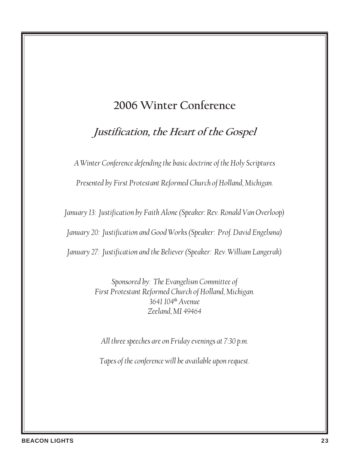### 2006 Winter Conference

### Justification, the Heart of the Gospel

A Winter Conference defending the basic doctrine of the Holy Scriptures Presented by First Protestant Reformed Church of Holland, Michigan.

January 13: Justification by Faith Alone (Speaker: Rev. Ronald Van Overloop) January 20: Justification and Good Works (Speaker: Prof. David Engelsma) January 27: Justification and the Believer (Speaker: Rev. William Langerak)

> Sponsored by: The Evangelism Committee of First Protestant Reformed Church of Holland, Michigan.  $3641104<sup>th</sup>$  Avenue Zeeland, MI 49464

All three speeches are on Friday evenings at 7:30 p.m.

Tapes of the conference will be available upon request.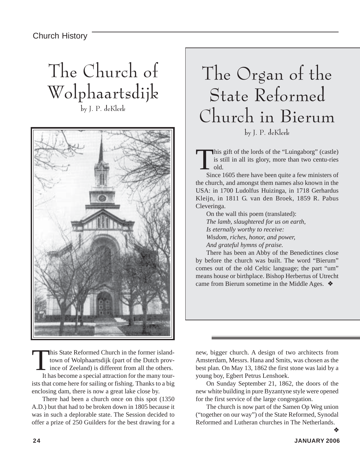# The Church of Wolphaartsdijk

by J. P. deKlerk



This State Reformed Church in the former islandtown of Wolphaartsdijk (part of the Dutch province of Zeeland) is different from all the others. It has become a special attraction for the many tourists that come here for sailing or fishing. Thanks to a big enclosing dam, there is now a great lake close by.

There had been a church once on this spot (1350 A.D.) but that had to be broken down in 1805 because it was in such a deplorable state. The Session decided to offer a prize of 250 Guilders for the best drawing for a

## The Organ of the State Reformed Church in Bierum by J. P. deKlerk

This gift of the lords of the "Luingaborg" (castle) is still in all its glory, more than two centu-ries old.

Since 1605 there have been quite a few ministers of the church, and amongst them names also known in the USA: in 1700 Ludolfus Huizinga, in 1718 Gerhardus Kleijn, in 1811 G. van den Broek, 1859 R. Pabus Cleveringa.

On the wall this poem (translated): *The lamb, slaughtered for us on earth, Is eternally worthy to receive: Wisdom, riches, honor, and power, And grateful hymns of praise.*

There has been an Abby of the Benedictines close by before the church was built. The word "Bierum" comes out of the old Celtic language; the part "um" means house or birthplace. Bishop Herbertus of Utrecht came from Bierum sometime in the Middle Ages. ❖

new, bigger church. A design of two architects from Amsterdam, Messrs. Hana and Smits, was chosen as the best plan. On May 13, 1862 the first stone was laid by a young boy, Egbert Petrus Lenshoek.

On Sunday September 21, 1862, the doors of the new white building in pure Byzantyne style were opened for the first service of the large congregation.

The church is now part of the Samen Op Weg union ("together on our way") of the State Reformed, Synodal Reformed and Lutheran churches in The Netherlands.

❖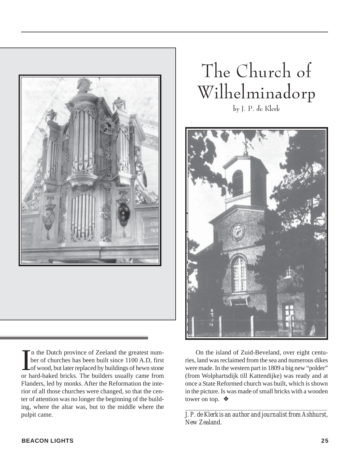

In the Dutch province of Zeeland the greatest num-<br>ber of churches has been built since 1100 A.D, first<br>of wood, but later replaced by buildings of hewn stone<br>or hard-baked bricks. The builders usually came from n the Dutch province of Zeeland the greatest number of churches has been built since 1100 A.D, first of wood, but later replaced by buildings of hewn stone Flanders, led by monks. After the Reformation the interior of all those churches were changed, so that the center of attention was no longer the beginning of the building, where the altar was, but to the middle where the pulpit came.

# The Church of Wilhelminadorp

by J. P. de Klerk



On the island of Zuid-Beveland, over eight centuries, land was reclaimed from the sea and numerous dikes were made. In the western part in 1809 a big new "polder" (from Wolphartsdijk till Kattendijke) was ready and at once a State Reformed church was built, which is shown in the picture. Is was made of small bricks with a wooden tower on top. ❖

*\_\_\_\_\_\_\_\_\_\_\_\_\_\_\_\_\_\_\_\_\_\_\_\_\_\_\_\_\_\_\_\_\_\_\_\_\_\_\_\_\_\_\_\_\_\_\_\_\_\_\_\_\_\_\_\_\_\_\_\_\_\_\_ J. P. de Klerk is an author and journalist from Ashhurst, New Zealand.*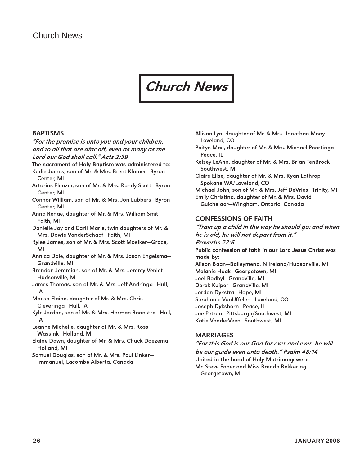## Church News

#### BAPTISMS

"For the promise is unto you and your children, and to all that are afar off, even as many as the Lord our God shall call." Acts 2:39 The sacrament of Holy Baptism was administered to: Kodie James, son of Mr. & Mrs. Brent Klamer—Byron Center, MI Artorius Eleazer, son of Mr. & Mrs. Randy Scott—Byron Center, MI Connor William, son of Mr. & Mrs. Jon Lubbers—Byron Center, MI Anna Renae, daughter of Mr. & Mrs. William Smit—

Faith, MI Danielle Joy and Carli Marie, twin daughters of Mr. &

Mrs. Dowie VanderSchaaf—Faith, MI

Rylee James, son of Mr. & Mrs. Scott Moelker—Grace, MI

Annica Dale, daughter of Mr. & Mrs. Jason Engelsma— Grandville, MI

Brendan Jeremiah, son of Mr. & Mrs. Jeremy Venlet— Hudsonville, MI

James Thomas, son of Mr. & Mrs. Jeff Andringa—Hull, IA

Maesa Elaine, daughter of Mr. & Mrs. Chris Cleveringa—Hull, IA

Kyle Jordan, son of Mr. & Mrs. Herman Boonstra—Hull, IA

Leanne Michelle, daughter of Mr. & Mrs. Ross Wassink—Holland, MI

Elaine Dawn, daughter of Mr. & Mrs. Chuck Doezema— Holland, MI

Samuel Douglas, son of Mr. & Mrs. Paul Linker— Immanuel, Lacombe Alberta, Canada

Allison Lyn, daughter of Mr. & Mrs. Jonathan Mooy— Loveland, CO

Paityn Mae, daughter of Mr. & Mrs. Michael Poortinga— Peace, IL

Kelsey LeAnn, daughter of Mr. & Mrs. Brian TenBrock— Southwest, MI

Claire Elise, daughter of Mr. & Mrs. Ryan Lathrop— Spokane WA/Loveland, CO

Michael John, son of Mr. & Mrs. Jeff DeVries—Trinity, MI

Emily Christina, daughter of Mr. & Mrs. David Guichelaar—Wingham, Ontario, Canada

#### CONFESSIONS OF FAITH

"Train up a child in the way he should go: and when he is old, he will not depart from it." Proverbs 22:6 Public confession of faith in our Lord Jesus Christ was made by: Alison Baan—Balleymena, N Ireland/Hudsonville, MI Melanie Haak—Georgetown, MI Joel Bodbyl—Grandville, MI Derek Kuiper—Grandville, MI Jordan Dykstra—Hope, MI Stephanie VanUffelen—Loveland, CO Joseph Dykshorn—Peace, IL Joe Petron—Pittsburgh/Southwest, MI Katie VanderVeen—Southwest, MI

#### MARRIAGES

"For this God is our God for ever and ever: he will be our guide even unto death." Psalm 48:14 United in the bond of Holy Matrimony were: Mr. Steve Faber and Miss Brenda Bekkering— Georgetown, MI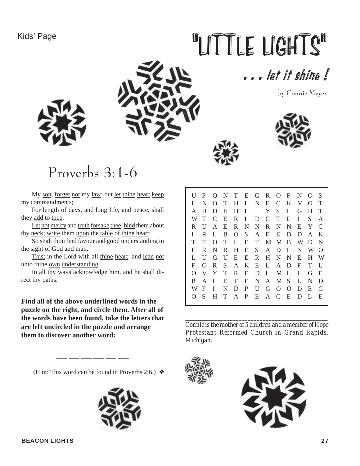Kids' Page

# "LITTLE LIGHTS"







by Connie Meyer



## Proverbs 3:1-6

My son, forget not my law; but let thine heart keep my commandments;

For length of days, and long life, and peace, shall they add to thee.

Let not mercy and truth forsake thee: bind them about thy neck; write them upon the table of thine heart:

So shalt thou find favour and good understanding in the sight of God and man.

Trust in the Lord with all thine heart; and lean not unto thine own understanding.

In all thy ways acknowledge him, and he shall direct thy paths.

**Find all of the above underlined words in the puzzle on the right, and circle them. After all of the words have been found, take the letters that are left uncircled in the puzzle and arrange them to discover another word:**

UP ONTEGROF NOS L N O T H I N E C K MO T AHDHHI I YS I GHT WT C E R I D C T L I S A RUAERNNRNNEYC I RLBOS AEEDDAK T T O T L E T MMB WD N E R N R H E S A D I N WO LUGUEERHNNEHW F ORS AKELADF TL O V Y T R E D L ML I G E R A L E T E N A MS L N D WF I N D P U G O O D E G OS HTAP EACEDLE

*\_\_\_\_\_\_\_\_\_\_\_\_\_\_\_\_\_\_\_\_\_\_\_\_\_\_\_\_\_\_\_\_\_\_\_\_\_\_\_\_\_\_\_\_\_\_\_\_ Connie is the mother of 5 children and a member of Hope Protestant Reformed Church in Grand Rapids, Michigan.*



(Hint: This word can be found in Proverbs 2:6.)  $\triangleleft$ 

\_\_\_\_ \_\_\_ \_\_\_ \_\_\_ \_\_\_ \_\_\_ \_\_\_